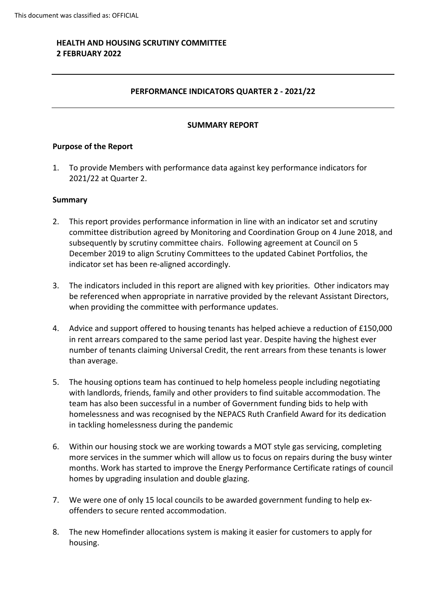# **HEALTH AND HOUSING SCRUTINY COMMITTEE 2 FEBRUARY 2022**

## **PERFORMANCE INDICATORS QUARTER 2 - 2021/22**

#### **SUMMARY REPORT**

#### **Purpose of the Report**

1. To provide Members with performance data against key performance indicators for 2021/22 at Quarter 2.

#### **Summary**

- 2. This report provides performance information in line with an indicator set and scrutiny committee distribution agreed by Monitoring and Coordination Group on 4 June 2018, and subsequently by scrutiny committee chairs. Following agreement at Council on 5 December 2019 to align Scrutiny Committees to the updated Cabinet Portfolios, the indicator set has been re-aligned accordingly.
- 3. The indicators included in this report are aligned with key priorities. Other indicators may be referenced when appropriate in narrative provided by the relevant Assistant Directors, when providing the committee with performance updates.
- 4. Advice and support offered to housing tenants has helped achieve a reduction of £150,000 in rent arrears compared to the same period last year. Despite having the highest ever number of tenants claiming Universal Credit, the rent arrears from these tenants is lower than average.
- 5. The housing options team has continued to help homeless people including negotiating with landlords, friends, family and other providers to find suitable accommodation. The team has also been successful in a number of Government funding bids to help with homelessness and was recognised by the NEPACS Ruth Cranfield Award for its dedication in tackling homelessness during the pandemic
- 6. Within our housing stock we are working towards a MOT style gas servicing, completing more services in the summer which will allow us to focus on repairs during the busy winter months. Work has started to improve the Energy Performance Certificate ratings of council homes by upgrading insulation and double glazing.
- 7. We were one of only 15 local councils to be awarded government funding to help exoffenders to secure rented accommodation.
- 8. The new Homefinder allocations system is making it easier for customers to apply for housing.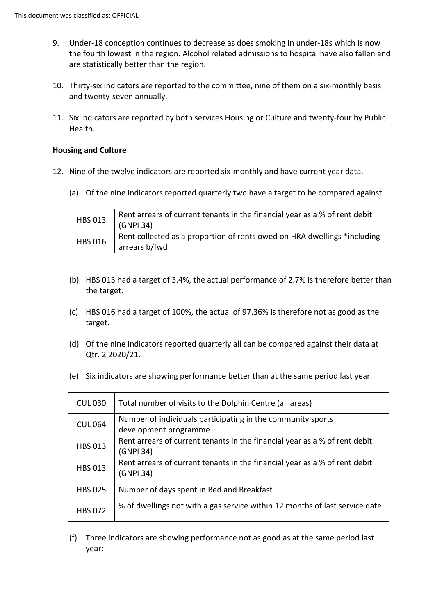- 9. Under-18 conception continues to decrease as does smoking in under-18s which is now the fourth lowest in the region. Alcohol related admissions to hospital have also fallen and are statistically better than the region.
- 10. Thirty-six indicators are reported to the committee, nine of them on a six-monthly basis and twenty-seven annually.
- 11. Six indicators are reported by both services Housing or Culture and twenty-four by Public Health.

### **Housing and Culture**

- 12. Nine of the twelve indicators are reported six-monthly and have current year data.
	- (a) Of the nine indicators reported quarterly two have a target to be compared against.

| <b>HBS 013</b> | Rent arrears of current tenants in the financial year as a % of rent debit<br>(GNPI 34)   |
|----------------|-------------------------------------------------------------------------------------------|
| <b>HBS 016</b> | Rent collected as a proportion of rents owed on HRA dwellings *including<br>arrears b/fwd |

- (b) HBS 013 had a target of 3.4%, the actual performance of 2.7% is therefore better than the target.
- (c) HBS 016 had a target of 100%, the actual of 97.36% is therefore not as good as the target.
- (d) Of the nine indicators reported quarterly all can be compared against their data at Qtr. 2 2020/21.
- (e) Six indicators are showing performance better than at the same period last year.

| <b>CUL 030</b> | Total number of visits to the Dolphin Centre (all areas)                                |  |
|----------------|-----------------------------------------------------------------------------------------|--|
| <b>CUL 064</b> | Number of individuals participating in the community sports<br>development programme    |  |
| <b>HBS 013</b> | Rent arrears of current tenants in the financial year as a % of rent debit<br>(GNPI 34) |  |
| <b>HBS 013</b> | Rent arrears of current tenants in the financial year as a % of rent debit<br>(GNPI 34) |  |
| <b>HBS 025</b> | Number of days spent in Bed and Breakfast                                               |  |
| <b>HBS 072</b> | % of dwellings not with a gas service within 12 months of last service date             |  |

(f) Three indicators are showing performance not as good as at the same period last year: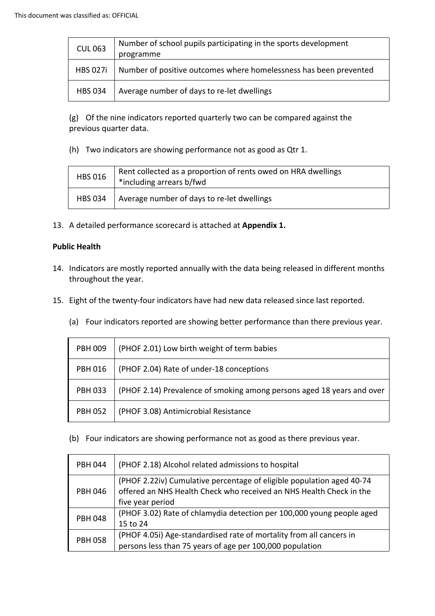| <b>CUL 063</b>  | Number of school pupils participating in the sports development<br>programme |  |
|-----------------|------------------------------------------------------------------------------|--|
| <b>HBS 027i</b> | Number of positive outcomes where homelessness has been prevented            |  |
| <b>HBS 034</b>  | Average number of days to re-let dwellings                                   |  |

(g) Of the nine indicators reported quarterly two can be compared against the previous quarter data.

(h) Two indicators are showing performance not as good as Qtr 1.

| <b>HBS 016</b> | Rent collected as a proportion of rents owed on HRA dwellings<br>*including arrears b/fwd |
|----------------|-------------------------------------------------------------------------------------------|
| <b>HBS 034</b> | Average number of days to re-let dwellings                                                |

13. A detailed performance scorecard is attached at **Appendix 1.**

## **Public Health**

- 14. Indicators are mostly reported annually with the data being released in different months throughout the year.
- 15. Eight of the twenty-four indicators have had new data released since last reported.
	- (a) Four indicators reported are showing better performance than there previous year.

| <b>PBH 009</b> | (PHOF 2.01) Low birth weight of term babies                            |  |
|----------------|------------------------------------------------------------------------|--|
| <b>PBH 016</b> | (PHOF 2.04) Rate of under-18 conceptions                               |  |
| <b>PBH 033</b> | (PHOF 2.14) Prevalence of smoking among persons aged 18 years and over |  |
| <b>PBH 052</b> | (PHOF 3.08) Antimicrobial Resistance                                   |  |

(b) Four indicators are showing performance not as good as there previous year.

| <b>PBH 044</b> | (PHOF 2.18) Alcohol related admissions to hospital                                                                                           |  |
|----------------|----------------------------------------------------------------------------------------------------------------------------------------------|--|
| <b>PBH 046</b> | (PHOF 2.22iv) Cumulative percentage of eligible population aged 40-74<br>offered an NHS Health Check who received an NHS Health Check in the |  |
| <b>PBH 048</b> | five year period<br>(PHOF 3.02) Rate of chlamydia detection per 100,000 young people aged<br>15 to 24                                        |  |
| <b>PBH 058</b> | (PHOF 4.05i) Age-standardised rate of mortality from all cancers in<br>persons less than 75 years of age per 100,000 population              |  |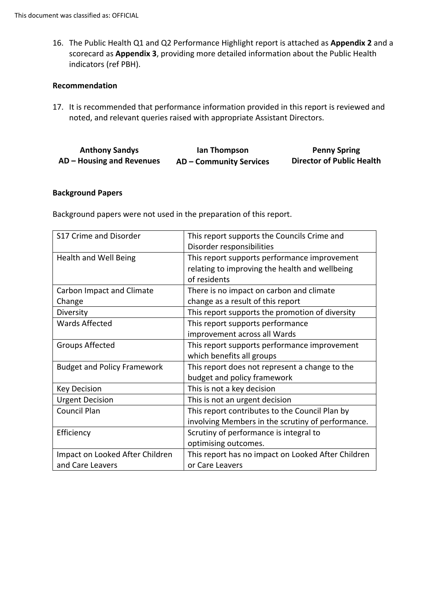16. The Public Health Q1 and Q2 Performance Highlight report is attached as **Appendix 2** and a scorecard as **Appendix 3**, providing more detailed information about the Public Health indicators (ref PBH).

#### **Recommendation**

17. It is recommended that performance information provided in this report is reviewed and noted, and relevant queries raised with appropriate Assistant Directors.

| <b>Anthony Sandys</b>     | lan Thompson                   | <b>Penny Spring</b>              |
|---------------------------|--------------------------------|----------------------------------|
| AD – Housing and Revenues | <b>AD – Community Services</b> | <b>Director of Public Health</b> |

#### **Background Papers**

Background papers were not used in the preparation of this report.

| S17 Crime and Disorder             | This report supports the Councils Crime and        |  |
|------------------------------------|----------------------------------------------------|--|
|                                    |                                                    |  |
|                                    | Disorder responsibilities                          |  |
| Health and Well Being              | This report supports performance improvement       |  |
|                                    | relating to improving the health and wellbeing     |  |
|                                    | of residents                                       |  |
| <b>Carbon Impact and Climate</b>   | There is no impact on carbon and climate           |  |
| Change                             | change as a result of this report                  |  |
| Diversity                          | This report supports the promotion of diversity    |  |
| <b>Wards Affected</b>              | This report supports performance                   |  |
|                                    | improvement across all Wards                       |  |
| <b>Groups Affected</b>             | This report supports performance improvement       |  |
|                                    | which benefits all groups                          |  |
| <b>Budget and Policy Framework</b> | This report does not represent a change to the     |  |
|                                    | budget and policy framework                        |  |
| <b>Key Decision</b>                | This is not a key decision                         |  |
| <b>Urgent Decision</b>             | This is not an urgent decision                     |  |
| <b>Council Plan</b>                | This report contributes to the Council Plan by     |  |
|                                    | involving Members in the scrutiny of performance.  |  |
| Efficiency                         | Scrutiny of performance is integral to             |  |
|                                    | optimising outcomes.                               |  |
| Impact on Looked After Children    | This report has no impact on Looked After Children |  |
| and Care Leavers                   | or Care Leavers                                    |  |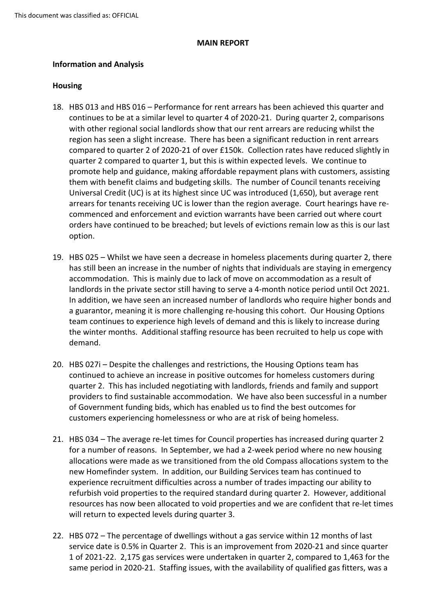#### **MAIN REPORT**

### **Information and Analysis**

### **Housing**

- 18. HBS 013 and HBS 016 Performance for rent arrears has been achieved this quarter and continues to be at a similar level to quarter 4 of 2020-21. During quarter 2, comparisons with other regional social landlords show that our rent arrears are reducing whilst the region has seen a slight increase. There has been a significant reduction in rent arrears compared to quarter 2 of 2020-21 of over £150k. Collection rates have reduced slightly in quarter 2 compared to quarter 1, but this is within expected levels. We continue to promote help and guidance, making affordable repayment plans with customers, assisting them with benefit claims and budgeting skills. The number of Council tenants receiving Universal Credit (UC) is at its highest since UC was introduced (1,650), but average rent arrears for tenants receiving UC is lower than the region average. Court hearings have recommenced and enforcement and eviction warrants have been carried out where court orders have continued to be breached; but levels of evictions remain low as this is our last option.
- 19. HBS 025 Whilst we have seen a decrease in homeless placements during quarter 2, there has still been an increase in the number of nights that individuals are staying in emergency accommodation. This is mainly due to lack of move on accommodation as a result of landlords in the private sector still having to serve a 4-month notice period until Oct 2021. In addition, we have seen an increased number of landlords who require higher bonds and a guarantor, meaning it is more challenging re-housing this cohort. Our Housing Options team continues to experience high levels of demand and this is likely to increase during the winter months. Additional staffing resource has been recruited to help us cope with demand.
- 20. HBS 027i Despite the challenges and restrictions, the Housing Options team has continued to achieve an increase in positive outcomes for homeless customers during quarter 2. This has included negotiating with landlords, friends and family and support providers to find sustainable accommodation. We have also been successful in a number of Government funding bids, which has enabled us to find the best outcomes for customers experiencing homelessness or who are at risk of being homeless.
- 21. HBS 034 The average re-let times for Council properties has increased during quarter 2 for a number of reasons. In September, we had a 2-week period where no new housing allocations were made as we transitioned from the old Compass allocations system to the new Homefinder system. In addition, our Building Services team has continued to experience recruitment difficulties across a number of trades impacting our ability to refurbish void properties to the required standard during quarter 2. However, additional resources has now been allocated to void properties and we are confident that re-let times will return to expected levels during quarter 3.
- 22. HBS 072 The percentage of dwellings without a gas service within 12 months of last service date is 0.5% in Quarter 2. This is an improvement from 2020-21 and since quarter 1 of 2021-22. 2,175 gas services were undertaken in quarter 2, compared to 1,463 for the same period in 2020-21. Staffing issues, with the availability of qualified gas fitters, was a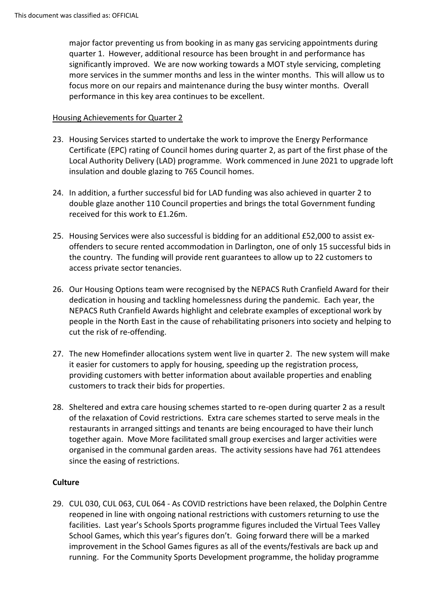major factor preventing us from booking in as many gas servicing appointments during quarter 1. However, additional resource has been brought in and performance has significantly improved. We are now working towards a MOT style servicing, completing more services in the summer months and less in the winter months. This will allow us to focus more on our repairs and maintenance during the busy winter months. Overall performance in this key area continues to be excellent.

### Housing Achievements for Quarter 2

- 23. Housing Services started to undertake the work to improve the Energy Performance Certificate (EPC) rating of Council homes during quarter 2, as part of the first phase of the Local Authority Delivery (LAD) programme. Work commenced in June 2021 to upgrade loft insulation and double glazing to 765 Council homes.
- 24. In addition, a further successful bid for LAD funding was also achieved in quarter 2 to double glaze another 110 Council properties and brings the total Government funding received for this work to £1.26m.
- 25. Housing Services were also successful is bidding for an additional £52,000 to assist exoffenders to secure rented accommodation in Darlington, one of only 15 successful bids in the country. The funding will provide rent guarantees to allow up to 22 customers to access private sector tenancies.
- 26. Our Housing Options team were recognised by the NEPACS Ruth Cranfield Award for their dedication in housing and tackling homelessness during the pandemic. Each year, the NEPACS Ruth Cranfield Awards highlight and celebrate examples of exceptional work by people in the North East in the cause of rehabilitating prisoners into society and helping to cut the risk of re-offending.
- 27. The new Homefinder allocations system went live in quarter 2. The new system will make it easier for customers to apply for housing, speeding up the registration process, providing customers with better information about available properties and enabling customers to track their bids for properties.
- 28. Sheltered and extra care housing schemes started to re-open during quarter 2 as a result of the relaxation of Covid restrictions. Extra care schemes started to serve meals in the restaurants in arranged sittings and tenants are being encouraged to have their lunch together again. Move More facilitated small group exercises and larger activities were organised in the communal garden areas. The activity sessions have had 761 attendees since the easing of restrictions.

# **Culture**

29. CUL 030, CUL 063, CUL 064 - As COVID restrictions have been relaxed, the Dolphin Centre reopened in line with ongoing national restrictions with customers returning to use the facilities. Last year's Schools Sports programme figures included the Virtual Tees Valley School Games, which this year's figures don't. Going forward there will be a marked improvement in the School Games figures as all of the events/festivals are back up and running. For the Community Sports Development programme, the holiday programme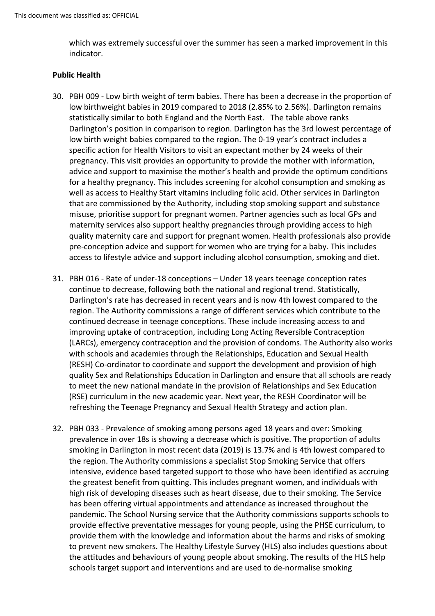which was extremely successful over the summer has seen a marked improvement in this indicator.

### **Public Health**

- 30. PBH 009 Low birth weight of term babies. There has been a decrease in the proportion of low birthweight babies in 2019 compared to 2018 (2.85% to 2.56%). Darlington remains statistically similar to both England and the North East. The table above ranks Darlington's position in comparison to region. Darlington has the 3rd lowest percentage of low birth weight babies compared to the region. The 0-19 year's contract includes a specific action for Health Visitors to visit an expectant mother by 24 weeks of their pregnancy. This visit provides an opportunity to provide the mother with information, advice and support to maximise the mother's health and provide the optimum conditions for a healthy pregnancy. This includes screening for alcohol consumption and smoking as well as access to Healthy Start vitamins including folic acid. Other services in Darlington that are commissioned by the Authority, including stop smoking support and substance misuse, prioritise support for pregnant women. Partner agencies such as local GPs and maternity services also support healthy pregnancies through providing access to high quality maternity care and support for pregnant women. Health professionals also provide pre-conception advice and support for women who are trying for a baby. This includes access to lifestyle advice and support including alcohol consumption, smoking and diet.
- 31. PBH 016 Rate of under-18 conceptions Under 18 years teenage conception rates continue to decrease, following both the national and regional trend. Statistically, Darlington's rate has decreased in recent years and is now 4th lowest compared to the region. The Authority commissions a range of different services which contribute to the continued decrease in teenage conceptions. These include increasing access to and improving uptake of contraception, including Long Acting Reversible Contraception (LARCs), emergency contraception and the provision of condoms. The Authority also works with schools and academies through the Relationships, Education and Sexual Health (RESH) Co-ordinator to coordinate and support the development and provision of high quality Sex and Relationships Education in Darlington and ensure that all schools are ready to meet the new national mandate in the provision of Relationships and Sex Education (RSE) curriculum in the new academic year. Next year, the RESH Coordinator will be refreshing the Teenage Pregnancy and Sexual Health Strategy and action plan.
- 32. PBH 033 Prevalence of smoking among persons aged 18 years and over: Smoking prevalence in over 18s is showing a decrease which is positive. The proportion of adults smoking in Darlington in most recent data (2019) is 13.7% and is 4th lowest compared to the region. The Authority commissions a specialist Stop Smoking Service that offers intensive, evidence based targeted support to those who have been identified as accruing the greatest benefit from quitting. This includes pregnant women, and individuals with high risk of developing diseases such as heart disease, due to their smoking. The Service has been offering virtual appointments and attendance as increased throughout the pandemic. The School Nursing service that the Authority commissions supports schools to provide effective preventative messages for young people, using the PHSE curriculum, to provide them with the knowledge and information about the harms and risks of smoking to prevent new smokers. The Healthy Lifestyle Survey (HLS) also includes questions about the attitudes and behaviours of young people about smoking. The results of the HLS help schools target support and interventions and are used to de-normalise smoking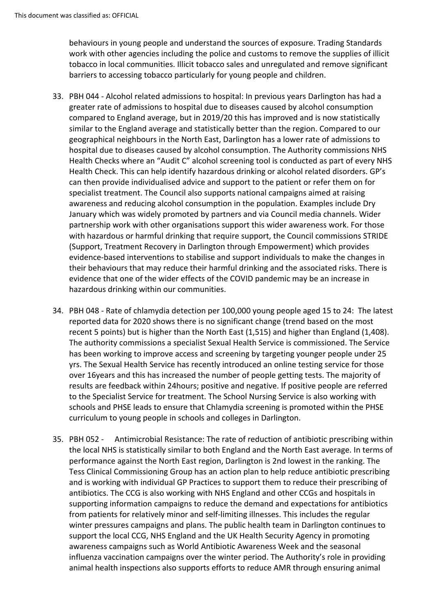behaviours in young people and understand the sources of exposure. Trading Standards work with other agencies including the police and customs to remove the supplies of illicit tobacco in local communities. Illicit tobacco sales and unregulated and remove significant barriers to accessing tobacco particularly for young people and children.

- 33. PBH 044 Alcohol related admissions to hospital: In previous years Darlington has had a greater rate of admissions to hospital due to diseases caused by alcohol consumption compared to England average, but in 2019/20 this has improved and is now statistically similar to the England average and statistically better than the region. Compared to our geographical neighbours in the North East, Darlington has a lower rate of admissions to hospital due to diseases caused by alcohol consumption. The Authority commissions NHS Health Checks where an "Audit C" alcohol screening tool is conducted as part of every NHS Health Check. This can help identify hazardous drinking or alcohol related disorders. GP's can then provide individualised advice and support to the patient or refer them on for specialist treatment. The Council also supports national campaigns aimed at raising awareness and reducing alcohol consumption in the population. Examples include Dry January which was widely promoted by partners and via Council media channels. Wider partnership work with other organisations support this wider awareness work. For those with hazardous or harmful drinking that require support, the Council commissions STRIDE (Support, Treatment Recovery in Darlington through Empowerment) which provides evidence-based interventions to stabilise and support individuals to make the changes in their behaviours that may reduce their harmful drinking and the associated risks. There is evidence that one of the wider effects of the COVID pandemic may be an increase in hazardous drinking within our communities.
- 34. PBH 048 Rate of chlamydia detection per 100,000 young people aged 15 to 24: The latest reported data for 2020 shows there is no significant change (trend based on the most recent 5 points) but is higher than the North East (1,515) and higher than England (1,408). The authority commissions a specialist Sexual Health Service is commissioned. The Service has been working to improve access and screening by targeting younger people under 25 yrs. The Sexual Health Service has recently introduced an online testing service for those over 16years and this has increased the number of people getting tests. The majority of results are feedback within 24hours; positive and negative. If positive people are referred to the Specialist Service for treatment. The School Nursing Service is also working with schools and PHSE leads to ensure that Chlamydia screening is promoted within the PHSE curriculum to young people in schools and colleges in Darlington.
- 35. PBH 052 Antimicrobial Resistance: The rate of reduction of antibiotic prescribing within the local NHS is statistically similar to both England and the North East average. In terms of performance against the North East region, Darlington is 2nd lowest in the ranking. The Tess Clinical Commissioning Group has an action plan to help reduce antibiotic prescribing and is working with individual GP Practices to support them to reduce their prescribing of antibiotics. The CCG is also working with NHS England and other CCGs and hospitals in supporting information campaigns to reduce the demand and expectations for antibiotics from patients for relatively minor and self-limiting illnesses. This includes the regular winter pressures campaigns and plans. The public health team in Darlington continues to support the local CCG, NHS England and the UK Health Security Agency in promoting awareness campaigns such as World Antibiotic Awareness Week and the seasonal influenza vaccination campaigns over the winter period. The Authority's role in providing animal health inspections also supports efforts to reduce AMR through ensuring animal